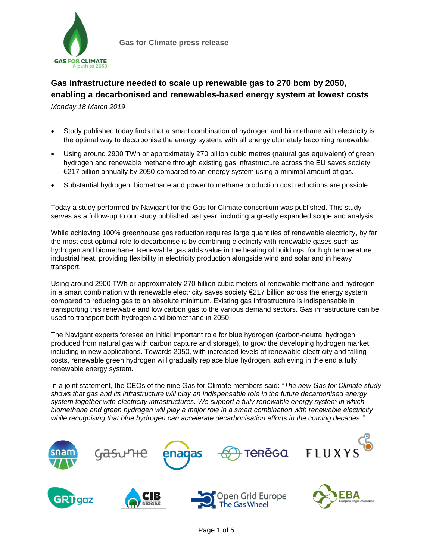

# **Gas infrastructure needed to scale up renewable gas to 270 bcm by 2050, enabling a decarbonised and renewables-based energy system at lowest costs**

*Monday 18 March 2019*

- Study published today finds that a smart combination of hydrogen and biomethane with electricity is the optimal way to decarbonise the energy system, with all energy ultimately becoming renewable.
- Using around 2900 TWh or approximately 270 billion cubic metres (natural gas equivalent) of green hydrogen and renewable methane through existing gas infrastructure across the EU saves society €217 billion annually by 2050 compared to an energy system using a minimal amount of gas.
- Substantial hydrogen, biomethane and power to methane production cost reductions are possible.

Today a study performed by Navigant for the Gas for Climate consortium was published. This study serves as a follow-up to our study published last year, including a greatly expanded scope and analysis.

While achieving 100% greenhouse gas reduction requires large quantities of renewable electricity, by far the most cost optimal role to decarbonise is by combining electricity with renewable gases such as hydrogen and biomethane. Renewable gas adds value in the heating of buildings, for high temperature industrial heat, providing flexibility in electricity production alongside wind and solar and in heavy transport.

Using around 2900 TWh or approximately 270 billion cubic meters of renewable methane and hydrogen in a smart combination with renewable electricity saves society  $E$ 217 billion across the energy system compared to reducing gas to an absolute minimum. Existing gas infrastructure is indispensable in transporting this renewable and low carbon gas to the various demand sectors. Gas infrastructure can be used to transport both hydrogen and biomethane in 2050.

The Navigant experts foresee an initial important role for blue hydrogen (carbon-neutral hydrogen produced from natural gas with carbon capture and storage), to grow the developing hydrogen market including in new applications. Towards 2050, with increased levels of renewable electricity and falling costs, renewable green hydrogen will gradually replace blue hydrogen, achieving in the end a fully renewable energy system.

In a joint statement, the CEOs of the nine Gas for Climate members said: *"The new Gas for Climate study shows that gas and its infrastructure will play an indispensable role in the future decarbonised energy system together with electricity infrastructures. We support a fully renewable energy system in which biomethane and green hydrogen will play a major role in a smart combination with renewable electricity while recognising that blue hydrogen can accelerate decarbonisation efforts in the coming decades."* 

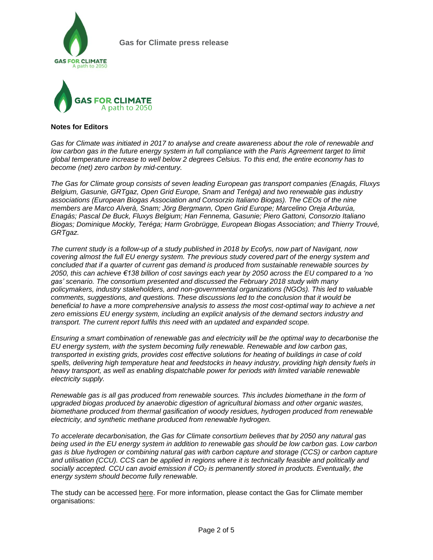



#### **Notes for Editors**

Gas for Climate was initiated in 2017 to analyse and create awareness about the role of renewable and low carbon gas in the future energy system in full compliance with the Paris Agreement target to limit *global temperature increase to well below 2 degrees Celsius. To this end, the entire economy has to become (net) zero carbon by mid-century.*

*The Gas for Climate group consists of seven leading European gas transport companies (Enagás, Fluxys Belgium, Gasunie, GRTgaz, Open Grid Europe, Snam and Teréga) and two renewable gas industry associations (European Biogas Association and Consorzio Italiano Biogas). The CEOs of the nine members are Marco Alverà, Snam; Jörg Bergmann, Open Grid Europe; Marcelino Oreja Arburúa, Enagás; Pascal De Buck, Fluxys Belgium; Han Fennema, Gasunie; Piero Gattoni, Consorzio Italiano Biogas; Dominique Mockly, Teréga; Harm Grobrügge, European Biogas Association; and Thierry Trouvé, GRTgaz.*

The current study is a follow-up of a study published in 2018 by Ecofys, now part of Navigant, now *covering almost the full EU energy system. The previous study covered part of the energy system and concluded that if a quarter of current gas demand is produced from sustainable renewable sources by* 2050, this can achieve €138 billion of cost savings each year by 2050 across the EU compared to a 'no *gas' scenario. The consortium presented and discussed the February 2018 study with many policymakers, industry stakeholders, and non-governmental organizations (NGOs). This led to valuable comments, suggestions, and questions. These discussions led to the conclusion that it would be beneficial to have a more comprehensive analysis to assess the most cost-optimal way to achieve a net zero emissions EU energy system, including an explicit analysis of the demand sectors industry and transport. The current report fulfils this need with an updated and expanded scope.*

*Ensuring a smart combination of renewable gas and electricity will be the optimal way to decarbonise the EU energy system, with the system becoming fully renewable. Renewable and low carbon gas, transported in existing grids, provides cost effective solutions for heating of buildings in case of cold spells, delivering high temperature heat and feedstocks in heavy industry, providing high density fuels in heavy transport, as well as enabling dispatchable power for periods with limited variable renewable electricity supply.*

*Renewable gas is all gas produced from renewable sources. This includes biomethane in the form of upgraded biogas produced by anaerobic digestion of agricultural biomass and other organic wastes, biomethane produced from thermal gasification of woody residues, hydrogen produced from renewable electricity, and synthetic methane produced from renewable hydrogen.*

*To accelerate decarbonisation, the Gas for Climate consortium believes that by 2050 any natural gas* being used in the EU energy system in addition to renewable gas should be low carbon gas. Low carbon *gas is blue hydrogen or combining natural gas with carbon capture and storage (CCS) or carbon capture and utilisation (CCU). CCS can be applied in regions where it is technically feasible and politically and socially accepted. CCU can avoid emission if CO<sup>2</sup> is permanently stored in products. Eventually, the energy system should become fully renewable.*

The study can be accessed here. For more information, please contact the Gas for Climate member organisations: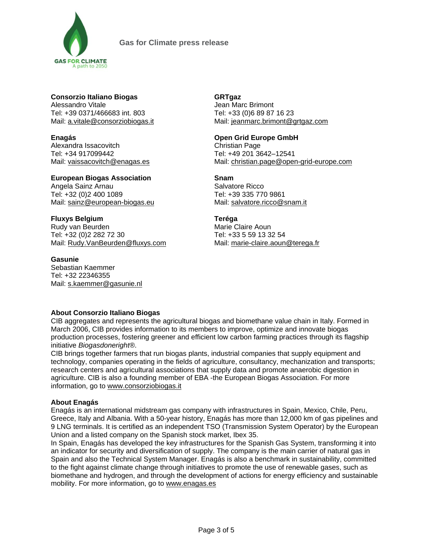

### **Consorzio Italiano Biogas**

Alessandro Vitale Tel: +39 0371/466683 int. 803 Mail: [a.vitale@consorziobiogas.it](mailto:eventi@consorziobiogas.it)

**Enagás**

Alexandra Issacovitch Tel: +34 917099442 Mail: [vaissacovitch@enagas.es](mailto:vaissacovitch@enagas.es)

**European Biogas Association** Angela Sainz Arnau Tel: +32 (0)2 400 1089 Mail: [sainz@european-biogas.eu](mailto:sainz@european-biogas.eu)

## **Fluxys Belgium**

Rudy van Beurden Tel: +32 (0)2 282 72 30 Mail: [Rudy.VanBeurden@fluxys.com](mailto:Rudy.VanBeurden@fluxys.com)

### **Gasunie**

Sebastian Kaemmer Tel: +32 22346355 Mail: [s.kaemmer@gasunie.nl](mailto:s.kaemmer@gasunie.nl)

# **GRTgaz**

Jean Marc Brimont Tel: +33 (0)6 89 87 16 23 Mail: [jeanmarc.brimont@grtgaz.com](mailto:jeanmarc.brimont@grtgaz.com)

## **Open Grid Europe GmbH**

Christian Page Tel: +49 201 3642–12541 Mail: [christian.page@open-grid-europe.com](mailto:christian.page@open-grid-europe.com)

# **Snam**

Salvatore Ricco Tel: +39 335 770 9861 Mail: [salvatore.ricco@snam.it](mailto:salvatore.ricco@snam.it)

### **Teréga**

Marie Claire Aoun Tel: +33 5 59 13 32 54 Mail: [marie-claire.aoun@terega.fr](mailto:marie-claire.aoun@terega.fr)

# **About Consorzio Italiano Biogas**

CIB aggregates and represents the agricultural biogas and biomethane value chain in Italy. Formed in March 2006, CIB provides information to its members to improve, optimize and innovate biogas production processes, fostering greener and efficient low carbon farming practices through its flagship initiative *Biogasdoneright®*.

CIB brings together farmers that run biogas plants, industrial companies that supply equipment and technology, companies operating in the fields of agriculture, consultancy, mechanization and transports; research centers and agricultural associations that supply data and promote anaerobic digestion in agriculture. CIB is also a founding member of EBA -the European Biogas Association. For more information, go to [www.consorziobiogas.it](http://www.consorziobiogas.it/)

# **About Enagás**

Enagás is an international midstream gas company with infrastructures in Spain, Mexico, Chile, Peru, Greece, Italy and Albania. With a 50-year history, Enagás has more than 12,000 km of gas pipelines and 9 LNG terminals. It is certified as an independent TSO (Transmission System Operator) by the European Union and a listed company on the Spanish stock market, Ibex 35.

In Spain, Enagás has developed the key infrastructures for the Spanish Gas System, transforming it into an indicator for security and diversification of supply. The company is the main carrier of natural gas in Spain and also the Technical System Manager. Enagás is also a benchmark in sustainability, committed to the fight against climate change through initiatives to promote the use of renewable gases, such as biomethane and hydrogen, and through the development of actions for energy efficiency and sustainable mobility. For more information, go to [www.enagas.es](http://www.enagas.es/)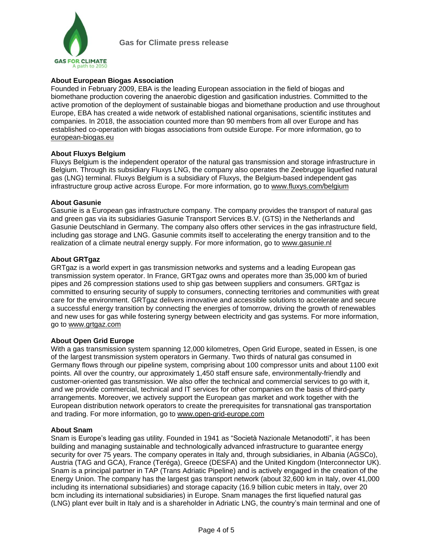

### **About European Biogas Association**

Founded in February 2009, EBA is the leading European association in the field of biogas and biomethane production covering the anaerobic digestion and gasification industries. Committed to the active promotion of the deployment of sustainable biogas and biomethane production and use throughout Europe, EBA has created a wide network of established national organisations, scientific institutes and companies. In 2018, the association counted more than 90 members from all over Europe and has established co-operation with biogas associations from outside Europe. For more information, go to [european-biogas.eu](http://european-biogas.eu/)

#### **About Fluxys Belgium**

Fluxys Belgium is the independent operator of the natural gas transmission and storage infrastructure in Belgium. Through its subsidiary Fluxys LNG, the company also operates the Zeebrugge liquefied natural gas (LNG) terminal. Fluxys Belgium is a subsidiary of Fluxys, the Belgium-based independent gas infrastructure group active across Europe. For more information, go to [www.fluxys.com/belgium](http://www.fluxys.com/belgium)

#### **About Gasunie**

Gasunie is a European gas infrastructure company. The company provides the transport of natural gas and green gas via its subsidiaries Gasunie Transport Services B.V. (GTS) in the Netherlands and Gasunie Deutschland in Germany. The company also offers other services in the gas infrastructure field, including gas storage and LNG. Gasunie commits itself to accelerating the energy transition and to the realization of a climate neutral energy supply. For more information, go to [www.gasunie.nl](http://www.gasunie.nl/)

#### **About GRTgaz**

GRTgaz is a world expert in gas transmission networks and systems and a leading European gas transmission system operator. In France, GRTgaz owns and operates more than 35,000 km of buried pipes and 26 compression stations used to ship gas between suppliers and consumers. GRTgaz is committed to ensuring security of supply to consumers, connecting territories and communities with great care for the environment. GRTgaz delivers innovative and accessible solutions to accelerate and secure a successful energy transition by connecting the energies of tomorrow, driving the growth of renewables and new uses for gas while fostering synergy between electricity and gas systems. For more information, go to [www.grtgaz.com](http://www.grtgaz.com/)

#### **About Open Grid Europe**

With a gas transmission system spanning 12,000 kilometres, Open Grid Europe, seated in Essen, is one of the largest transmission system operators in Germany. Two thirds of natural gas consumed in Germany flows through our pipeline system, comprising about 100 compressor units and about 1100 exit points. All over the country, our approximately 1,450 staff ensure safe, environmentally-friendly and customer-oriented gas transmission. We also offer the technical and commercial services to go with it, and we provide commercial, technical and IT services for other companies on the basis of third-party arrangements. Moreover, we actively support the European gas market and work together with the European distribution network operators to create the prerequisites for transnational gas transportation and trading. For more information, go to [www.open-grid-europe.com](http://www.open-grid-europe.com/)

#### **About Snam**

Snam is Europe's leading gas utility. Founded in 1941 as "Società Nazionale Metanodotti", it has been building and managing sustainable and technologically advanced infrastructure to guarantee energy security for over 75 years. The company operates in Italy and, through subsidiaries, in Albania (AGSCo), Austria (TAG and GCA), France (Teréga), Greece (DESFA) and the United Kingdom (Interconnector UK). Snam is a principal partner in TAP (Trans Adriatic Pipeline) and is actively engaged in the creation of the Energy Union. The company has the largest gas transport network (about 32,600 km in Italy, over 41,000 including its international subsidiaries) and storage capacity (16.9 billion cubic meters in Italy, over 20 bcm including its international subsidiaries) in Europe. Snam manages the first liquefied natural gas (LNG) plant ever built in Italy and is a shareholder in Adriatic LNG, the country's main terminal and one of